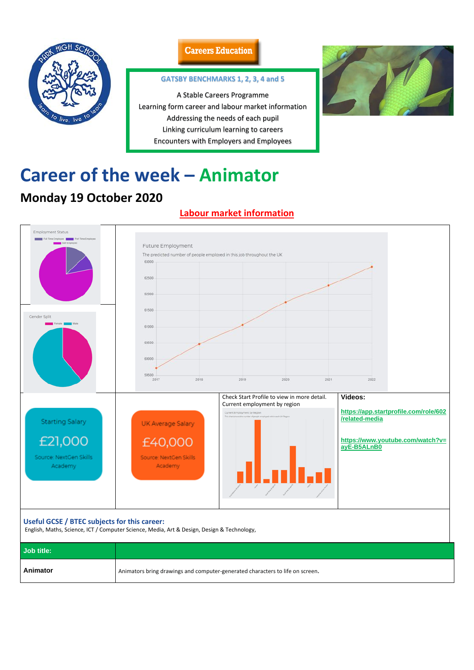

## **Careers Education**

# **Career of the week – Animator**

# **Monday 19 October 2020**

## **Labour market information**



| Useful GCSE / BTEC subjects for this career:<br>English, Maths, Science, ICT / Computer Science, Media, Art & Design, Design & Technology, |                                                                               |  |  |
|--------------------------------------------------------------------------------------------------------------------------------------------|-------------------------------------------------------------------------------|--|--|
| <b>Job title:</b>                                                                                                                          |                                                                               |  |  |
| Animator                                                                                                                                   | Animators bring drawings and computer-generated characters to life on screen. |  |  |

#### **GATSBY BENCHMARKS 1, 2, 3, 4 and 5**

A Stable Careers Programme Learning form career and labour market information Addressing the needs of each pupil Linking curriculum learning to careers Encounters with Employers and Employees